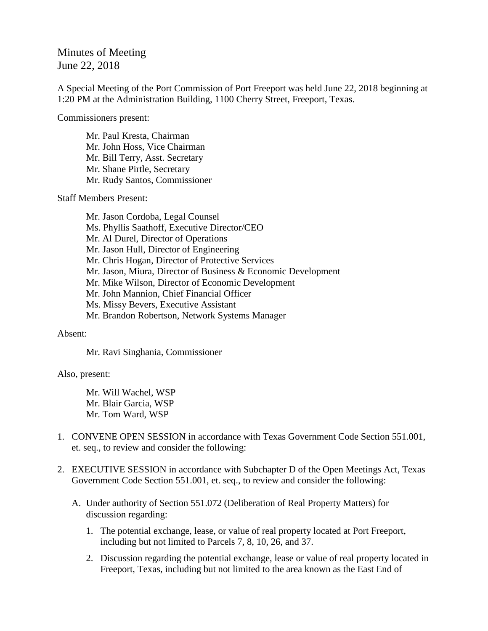# Minutes of Meeting June 22, 2018

A Special Meeting of the Port Commission of Port Freeport was held June 22, 2018 beginning at 1:20 PM at the Administration Building, 1100 Cherry Street, Freeport, Texas.

Commissioners present:

Mr. Paul Kresta, Chairman Mr. John Hoss, Vice Chairman Mr. Bill Terry, Asst. Secretary Mr. Shane Pirtle, Secretary Mr. Rudy Santos, Commissioner

Staff Members Present:

Mr. Jason Cordoba, Legal Counsel Ms. Phyllis Saathoff, Executive Director/CEO Mr. Al Durel, Director of Operations Mr. Jason Hull, Director of Engineering Mr. Chris Hogan, Director of Protective Services Mr. Jason, Miura, Director of Business & Economic Development Mr. Mike Wilson, Director of Economic Development Mr. John Mannion, Chief Financial Officer Ms. Missy Bevers, Executive Assistant Mr. Brandon Robertson, Network Systems Manager

#### Absent:

Mr. Ravi Singhania, Commissioner

### Also, present:

Mr. Will Wachel, WSP Mr. Blair Garcia, WSP Mr. Tom Ward, WSP

- 1. CONVENE OPEN SESSION in accordance with Texas Government Code Section 551.001, et. seq., to review and consider the following:
- 2. EXECUTIVE SESSION in accordance with Subchapter D of the Open Meetings Act, Texas Government Code Section 551.001, et. seq., to review and consider the following:
	- A. Under authority of Section 551.072 (Deliberation of Real Property Matters) for discussion regarding:
		- 1. The potential exchange, lease, or value of real property located at Port Freeport, including but not limited to Parcels 7, 8, 10, 26, and 37.
		- 2. Discussion regarding the potential exchange, lease or value of real property located in Freeport, Texas, including but not limited to the area known as the East End of